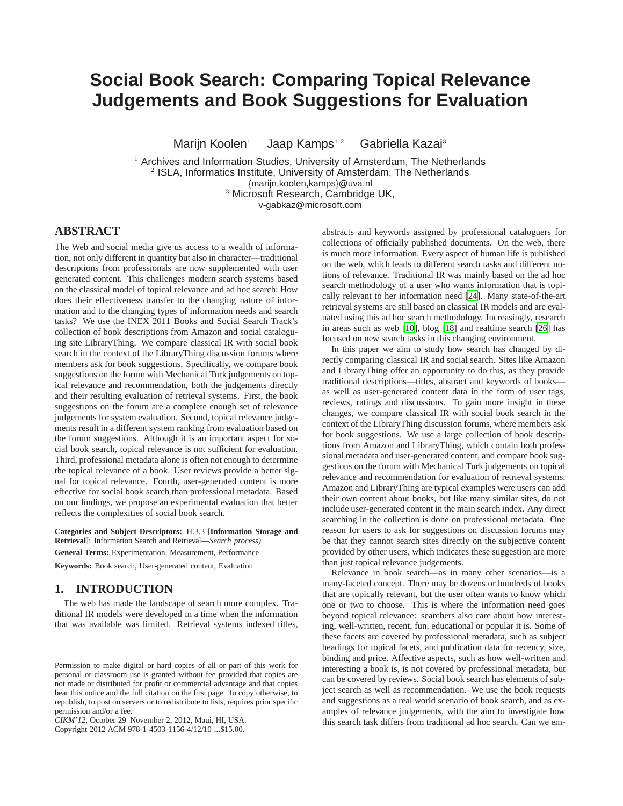# **Social Book Search: Comparing Topical Relevance Judgements and Book Suggestions for Evaluation**

Marijn Koolen<sup>1</sup> Jaap Kamps<sup>1,2</sup> Gabriella Kazai<sup>3</sup>

 Archives and Information Studies, University of Amsterdam, The Netherlands ISLA, Informatics Institute, University of Amsterdam, The Netherlands {marijn.koolen,kamps}@uva.nl Microsoft Research, Cambridge UK,

v-gabkaz@microsoft.com

# **ABSTRACT**

The Web and social media give us access to a wealth of information, not only different in quantity but also in character—traditional descriptions from professionals are now supplemented with user generated content. This challenges modern search systems based on the classical model of topical relevance and ad hoc search: How does their effectiveness transfer to the changing nature of information and to the changing types of information needs and search tasks? We use the INEX 2011 Books and Social Search Track's collection of book descriptions from Amazon and social cataloguing site LibraryThing. We compare classical IR with social book search in the context of the LibraryThing discussion forums where members ask for book suggestions. Specifically, we compare book suggestions on the forum with Mechanical Turk judgements on topical relevance and recommendation, both the judgements directly and their resulting evaluation of retrieval systems. First, the book suggestions on the forum are a complete enough set of relevance judgements for system evaluation. Second, topical relevance judgements result in a different system ranking from evaluation based on the forum suggestions. Although it is an important aspect for social book search, topical relevance is not sufficient for evaluation. Third, professional metadata alone is often not enough to determine the topical relevance of a book. User reviews provide a better signal for topical relevance. Fourth, user-generated content is more effective for social book search than professional metadata. Based on our findings, we propose an experimental evaluation that better reflects the complexities of social book search.

**Categories and Subject Descriptors:** H.3.3 [**Information Storage and Retrieval**]: Information Search and Retrieval—*Search process)*

**General Terms:** Experimentation, Measurement, Performance

**Keywords:** Book search, User-generated content, Evaluation

# **1. INTRODUCTION**

The web has made the landscape of search more complex. Traditional IR models were developed in a time when the information that was available was limited. Retrieval systems indexed titles,

Copyright 2012 ACM 978-1-4503-1156-4/12/10 ...\$15.00.

abstracts and keywords assigned by professional cataloguers for collections of officially published documents. On the web, there is much more information. Every aspect of human life is published on the web, which leads to different search tasks and different notions of relevance. Traditional IR was mainly based on the ad hoc search methodology of a user who wants information that is topically relevant to her information need [\[24](#page-9-0)]. Many state-of-the-art retrieval systems are still based on classical IR models and are evaluated using this ad hoc search methodology. Increasingly, research in areas such as web [\[10](#page-9-1)], blog [\[18](#page-9-2)] and realtime search [\[26](#page-9-3)] has focused on new search tasks in this changing environment.

In this paper we aim to study how search has changed by directly comparing classical IR and social search. Sites like Amazon and LibraryThing offer an opportunity to do this, as they provide traditional descriptions—titles, abstract and keywords of books as well as user-generated content data in the form of user tags, reviews, ratings and discussions. To gain more insight in these changes, we compare classical IR with social book search in the context of the LibraryThing discussion forums, where members ask for book suggestions. We use a large collection of book descriptions from Amazon and LibraryThing, which contain both professional metadata and user-generated content, and compare book suggestions on the forum with Mechanical Turk judgements on topical relevance and recommendation for evaluation of retrieval systems. Amazon and LibraryThing are typical examples were users can add their own content about books, but like many similar sites, do not include user-generated content in the main search index. Any direct searching in the collection is done on professional metadata. One reason for users to ask for suggestions on discussion forums may be that they cannot search sites directly on the subjective content provided by other users, which indicates these suggestion are more than just topical relevance judgements.

Relevance in book search—as in many other scenarios—is a many-faceted concept. There may be dozens or hundreds of books that are topically relevant, but the user often wants to know which one or two to choose. This is where the information need goes beyond topical relevance: searchers also care about how interesting, well-written, recent, fun, educational or popular it is. Some of these facets are covered by professional metadata, such as subject headings for topical facets, and publication data for recency, size, binding and price. Affective aspects, such as how well-written and interesting a book is, is not covered by professional metadata, but can be covered by reviews. Social book search has elements of subject search as well as recommendation. We use the book requests and suggestions as a real world scenario of book search, and as examples of relevance judgements, with the aim to investigate how this search task differs from traditional ad hoc search. Can we em-

Permission to make digital or hard copies of all or part of this work for personal or classroom use is granted without fee provided that copies are not made or distributed for profit or commercial advantage and that copies bear this notice and the full citation on the first page. To copy otherwise, to republish, to post on servers or to redistribute to lists, requires prior specific permission and/or a fee.

*CIKM'12,* October 29–November 2, 2012, Maui, HI, USA.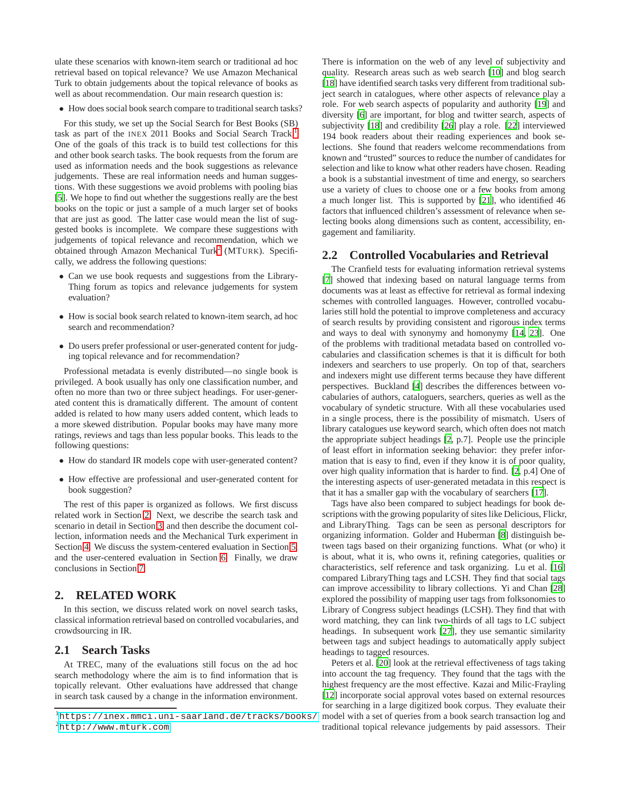ulate these scenarios with known-item search or traditional ad hoc retrieval based on topical relevance? We use Amazon Mechanical Turk to obtain judgements about the topical relevance of books as well as about recommendation. Our main research question is:

• How does social book search compare to traditional search tasks?

For this study, we set up the Social Search for Best Books (SB) task as part of the INEX 20[1](#page-1-0)1 Books and Social Search Track.<sup>1</sup> One of the goals of this track is to build test collections for this and other book search tasks. The book requests from the forum are used as information needs and the book suggestions as relevance judgements. These are real information needs and human suggestions. With these suggestions we avoid problems with pooling bias [\[5](#page-9-4)]. We hope to find out whether the suggestions really are the best books on the topic or just a sample of a much larger set of books that are just as good. The latter case would mean the list of suggested books is incomplete. We compare these suggestions with judgements of topical relevance and recommendation, which we obtained through Amazon Mechanical Turk<sup>[2](#page-1-1)</sup> (MTURK). Specifically, we address the following questions:

- Can we use book requests and suggestions from the Library-Thing forum as topics and relevance judgements for system evaluation?
- How is social book search related to known-item search, ad hoc search and recommendation?
- Do users prefer professional or user-generated content for judging topical relevance and for recommendation?

Professional metadata is evenly distributed—no single book is privileged. A book usually has only one classification number, and often no more than two or three subject headings. For user-generated content this is dramatically different. The amount of content added is related to how many users added content, which leads to a more skewed distribution. Popular books may have many more ratings, reviews and tags than less popular books. This leads to the following questions:

- How do standard IR models cope with user-generated content?
- How effective are professional and user-generated content for book suggestion?

The rest of this paper is organized as follows. We first discuss related work in Section [2.](#page-1-2) Next, we describe the search task and scenario in detail in Section [3,](#page-2-0) and then describe the document collection, information needs and the Mechanical Turk experiment in Section [4.](#page-3-0) We discuss the system-centered evaluation in Section [5,](#page-5-0) and the user-centered evaluation in Section [6.](#page-6-0) Finally, we draw conclusions in Section [7.](#page-8-0)

# <span id="page-1-2"></span>**2. RELATED WORK**

In this section, we discuss related work on novel search tasks, classical information retrieval based on controlled vocabularies, and crowdsourcing in IR.

## **2.1 Search Tasks**

At TREC, many of the evaluations still focus on the ad hoc search methodology where the aim is to find information that is topically relevant. Other evaluations have addressed that change in search task caused by a change in the information environment. There is information on the web of any level of subjectivity and quality. Research areas such as web search [\[10](#page-9-1)] and blog search [\[18\]](#page-9-2) have identified search tasks very different from traditional subject search in catalogues, where other aspects of relevance play a role. For web search aspects of popularity and authority [\[19](#page-9-5)] and diversity [\[6](#page-9-6)] are important, for blog and twitter search, aspects of subjectivity [\[18](#page-9-2)] and credibility [\[26\]](#page-9-3) play a role. [\[22](#page-9-7)] interviewed 194 book readers about their reading experiences and book selections. She found that readers welcome recommendations from known and "trusted" sources to reduce the number of candidates for selection and like to know what other readers have chosen. Reading a book is a substantial investment of time and energy, so searchers use a variety of clues to choose one or a few books from among a much longer list. This is supported by [\[21\]](#page-9-8), who identified 46 factors that influenced children's assessment of relevance when selecting books along dimensions such as content, accessibility, engagement and familiarity.

## **2.2 Controlled Vocabularies and Retrieval**

The Cranfield tests for evaluating information retrieval systems [\[7](#page-9-9)] showed that indexing based on natural language terms from documents was at least as effective for retrieval as formal indexing schemes with controlled languages. However, controlled vocabularies still hold the potential to improve completeness and accuracy of search results by providing consistent and rigorous index terms and ways to deal with synonymy and homonymy [\[14](#page-9-10), [23\]](#page-9-11). One of the problems with traditional metadata based on controlled vocabularies and classification schemes is that it is difficult for both indexers and searchers to use properly. On top of that, searchers and indexers might use different terms because they have different perspectives. Buckland [\[4\]](#page-9-12) describes the differences between vocabularies of authors, cataloguers, searchers, queries as well as the vocabulary of syndetic structure. With all these vocabularies used in a single process, there is the possibility of mismatch. Users of library catalogues use keyword search, which often does not match the appropriate subject headings [\[2,](#page-9-13) p.7]. People use the principle of least effort in information seeking behavior: they prefer information that is easy to find, even if they know it is of poor quality, over high quality information that is harder to find. [\[2](#page-9-13), p.4] One of the interesting aspects of user-generated metadata in this respect is that it has a smaller gap with the vocabulary of searchers [\[17](#page-9-14)].

Tags have also been compared to subject headings for book descriptions with the growing popularity of sites like Delicious, Flickr, and LibraryThing. Tags can be seen as personal descriptors for organizing information. Golder and Huberman [\[8\]](#page-9-15) distinguish between tags based on their organizing functions. What (or who) it is about, what it is, who owns it, refining categories, qualities or characteristics, self reference and task organizing. Lu et al. [\[16\]](#page-9-16) compared LibraryThing tags and LCSH. They find that social tags can improve accessibility to library collections. Yi and Chan [\[28\]](#page-9-17) explored the possibility of mapping user tags from folksonomies to Library of Congress subject headings (LCSH). They find that with word matching, they can link two-thirds of all tags to LC subject headings. In subsequent work [\[27\]](#page-9-18), they use semantic similarity between tags and subject headings to automatically apply subject headings to tagged resources.

Peters et al. [\[20](#page-9-19)] look at the retrieval effectiveness of tags taking into account the tag frequency. They found that the tags with the highest frequency are the most effective. Kazai and Milic-Frayling [\[12\]](#page-9-20) incorporate social approval votes based on external resources for searching in a large digitized book corpus. They evaluate their model with a set of queries from a book search transaction log and traditional topical relevance judgements by paid assessors. Their

<span id="page-1-1"></span><span id="page-1-0"></span><sup>1</sup><https://inex.mmci.uni-saarland.de/tracks/books/> <sup>2</sup><http://www.mturk.com>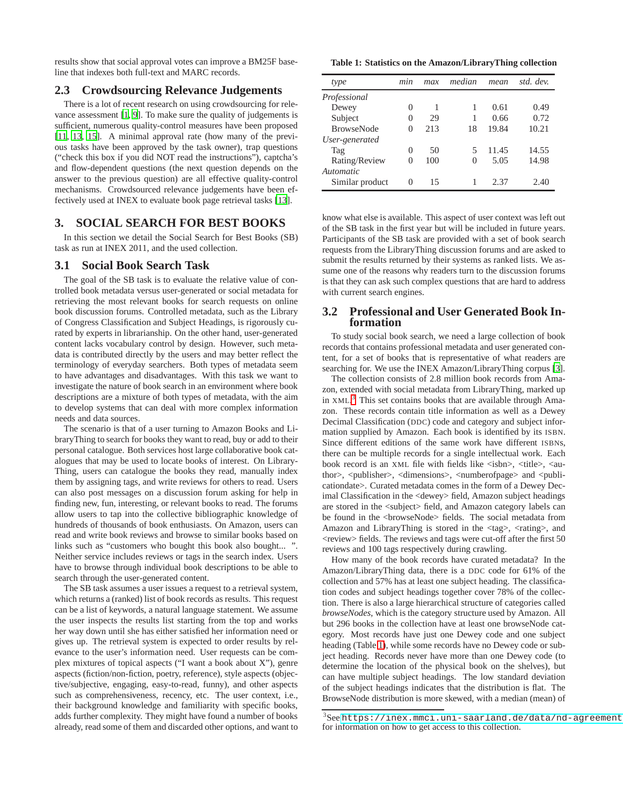results show that social approval votes can improve a BM25F baseline that indexes both full-text and MARC records.

## **2.3 Crowdsourcing Relevance Judgements**

There is a lot of recent research on using crowdsourcing for relevance assessment [\[1](#page-9-21), [9](#page-9-22)]. To make sure the quality of judgements is sufficient, numerous quality-control measures have been proposed [\[11,](#page-9-23) [13](#page-9-24), [15](#page-9-25)]. A minimal approval rate (how many of the previous tasks have been approved by the task owner), trap questions ("check this box if you did NOT read the instructions"), captcha's and flow-dependent questions (the next question depends on the answer to the previous question) are all effective quality-control mechanisms. Crowdsourced relevance judgements have been effectively used at INEX to evaluate book page retrieval tasks [\[13](#page-9-24)].

## <span id="page-2-0"></span>**3. SOCIAL SEARCH FOR BEST BOOKS**

In this section we detail the Social Search for Best Books (SB) task as run at INEX 2011, and the used collection.

#### **3.1 Social Book Search Task**

The goal of the SB task is to evaluate the relative value of controlled book metadata versus user-generated or social metadata for retrieving the most relevant books for search requests on online book discussion forums. Controlled metadata, such as the Library of Congress Classification and Subject Headings, is rigorously curated by experts in librarianship. On the other hand, user-generated content lacks vocabulary control by design. However, such metadata is contributed directly by the users and may better reflect the terminology of everyday searchers. Both types of metadata seem to have advantages and disadvantages. With this task we want to investigate the nature of book search in an environment where book descriptions are a mixture of both types of metadata, with the aim to develop systems that can deal with more complex information needs and data sources.

The scenario is that of a user turning to Amazon Books and LibraryThing to search for books they want to read, buy or add to their personal catalogue. Both services host large collaborative book catalogues that may be used to locate books of interest. On Library-Thing, users can catalogue the books they read, manually index them by assigning tags, and write reviews for others to read. Users can also post messages on a discussion forum asking for help in finding new, fun, interesting, or relevant books to read. The forums allow users to tap into the collective bibliographic knowledge of hundreds of thousands of book enthusiasts. On Amazon, users can read and write book reviews and browse to similar books based on links such as "customers who bought this book also bought... ". Neither service includes reviews or tags in the search index. Users have to browse through individual book descriptions to be able to search through the user-generated content.

The SB task assumes a user issues a request to a retrieval system, which returns a (ranked) list of book records as results. This request can be a list of keywords, a natural language statement. We assume the user inspects the results list starting from the top and works her way down until she has either satisfied her information need or gives up. The retrieval system is expected to order results by relevance to the user's information need. User requests can be complex mixtures of topical aspects ("I want a book about X"), genre aspects (fiction/non-fiction, poetry, reference), style aspects (objective/subjective, engaging, easy-to-read, funny), and other aspects such as comprehensiveness, recency, etc. The user context, i.e., their background knowledge and familiarity with specific books, adds further complexity. They might have found a number of books already, read some of them and discarded other options, and want to

#### <span id="page-2-2"></span>**Table 1: Statistics on the Amazon/LibraryThing collection**

| type              | min          | max | median | mean  | std. dev. |
|-------------------|--------------|-----|--------|-------|-----------|
| Professional      |              |     |        |       |           |
| Dewey             | $\theta$     | 1   | 1      | 0.61  | 0.49      |
| Subject           | $\mathbf{O}$ | 29  | 1      | 0.66  | 0.72      |
| <b>BrowseNode</b> | 0            | 213 | 18     | 19.84 | 10.21     |
| User-generated    |              |     |        |       |           |
| Tag               | 0            | 50  | 5      | 11.45 | 14.55     |
| Rating/Review     | $\theta$     | 100 | 0      | 5.05  | 14.98     |
| Automatic         |              |     |        |       |           |
| Similar product   | 0            | 15  |        | 2.37  | 2.40      |
|                   |              |     |        |       |           |

know what else is available. This aspect of user context was left out of the SB task in the first year but will be included in future years. Participants of the SB task are provided with a set of book search requests from the LibraryThing discussion forums and are asked to submit the results returned by their systems as ranked lists. We assume one of the reasons why readers turn to the discussion forums is that they can ask such complex questions that are hard to address with current search engines.

## **3.2 Professional and User Generated Book Information**

To study social book search, we need a large collection of book records that contains professional metadata and user generated content, for a set of books that is representative of what readers are searching for. We use the INEX Amazon/LibraryThing corpus [\[3](#page-9-26)].

The collection consists of 2.8 million book records from Amazon, extended with social metadata from LibraryThing, marked up in XML.<sup>[3](#page-2-1)</sup> This set contains books that are available through Amazon. These records contain title information as well as a Dewey Decimal Classification (DDC) code and category and subject information supplied by Amazon. Each book is identified by its ISBN. Since different editions of the same work have different ISBNs, there can be multiple records for a single intellectual work. Each book record is an XML file with fields like <isbn>, <title>, <author>, <publisher>, <dimensions>, <numberofpage> and <publicationdate>. Curated metadata comes in the form of a Dewey Decimal Classification in the <dewey> field, Amazon subject headings are stored in the <subject> field, and Amazon category labels can be found in the <br/>browseNode> fields. The social metadata from Amazon and LibraryThing is stored in the  $\langle tag \rangle$ ,  $\langle rating \rangle$ , and  $\langle$ review $>$  fields. The reviews and tags were cut-off after the first 50 reviews and 100 tags respectively during crawling.

How many of the book records have curated metadata? In the Amazon/LibraryThing data, there is a DDC code for 61% of the collection and 57% has at least one subject heading. The classification codes and subject headings together cover 78% of the collection. There is also a large hierarchical structure of categories called *browseNodes*, which is the category structure used by Amazon. All but 296 books in the collection have at least one browseNode category. Most records have just one Dewey code and one subject heading (Table [1\)](#page-2-2), while some records have no Dewey code or subject heading. Records never have more than one Dewey code (to determine the location of the physical book on the shelves), but can have multiple subject headings. The low standard deviation of the subject headings indicates that the distribution is flat. The BrowseNode distribution is more skewed, with a median (mean) of

<span id="page-2-1"></span> ${}^{3}$ Seehttps://inex.mmci.uni-saarland.de/data/nd-agreement for information on how to get access to this collection.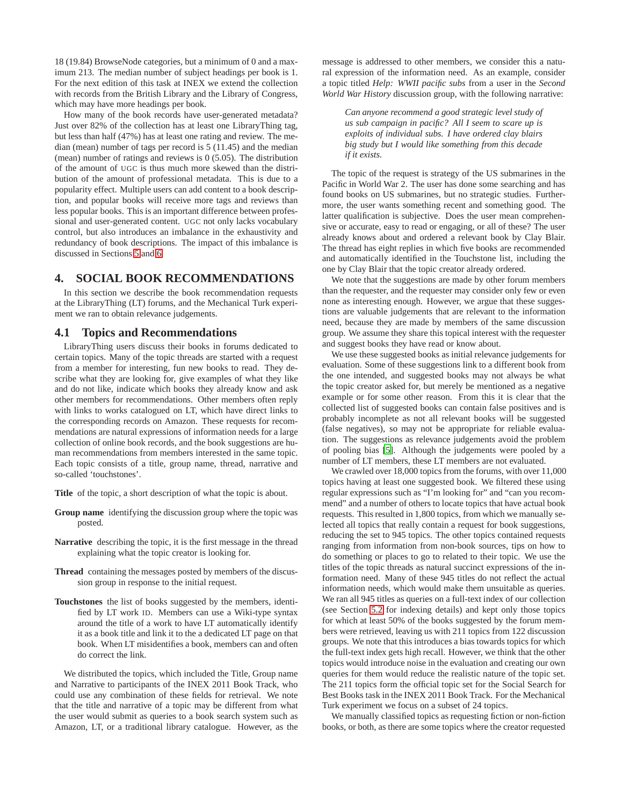18 (19.84) BrowseNode categories, but a minimum of 0 and a maximum 213. The median number of subject headings per book is 1. For the next edition of this task at INEX we extend the collection with records from the British Library and the Library of Congress, which may have more headings per book.

How many of the book records have user-generated metadata? Just over 82% of the collection has at least one LibraryThing tag, but less than half (47%) has at least one rating and review. The median (mean) number of tags per record is 5 (11.45) and the median (mean) number of ratings and reviews is 0 (5.05). The distribution of the amount of UGC is thus much more skewed than the distribution of the amount of professional metadata. This is due to a popularity effect. Multiple users can add content to a book description, and popular books will receive more tags and reviews than less popular books. This is an important difference between professional and user-generated content. UGC not only lacks vocabulary control, but also introduces an imbalance in the exhaustivity and redundancy of book descriptions. The impact of this imbalance is discussed in Sections [5](#page-5-0) and [6.](#page-6-0)

## <span id="page-3-0"></span>**4. SOCIAL BOOK RECOMMENDATIONS**

In this section we describe the book recommendation requests at the LibraryThing (LT) forums, and the Mechanical Turk experiment we ran to obtain relevance judgements.

#### **4.1 Topics and Recommendations**

LibraryThing users discuss their books in forums dedicated to certain topics. Many of the topic threads are started with a request from a member for interesting, fun new books to read. They describe what they are looking for, give examples of what they like and do not like, indicate which books they already know and ask other members for recommendations. Other members often reply with links to works catalogued on LT, which have direct links to the corresponding records on Amazon. These requests for recommendations are natural expressions of information needs for a large collection of online book records, and the book suggestions are human recommendations from members interested in the same topic. Each topic consists of a title, group name, thread, narrative and so-called 'touchstones'.

- **Title** of the topic, a short description of what the topic is about.
- **Group name** identifying the discussion group where the topic was posted.
- **Narrative** describing the topic, it is the first message in the thread explaining what the topic creator is looking for.
- **Thread** containing the messages posted by members of the discussion group in response to the initial request.
- **Touchstones** the list of books suggested by the members, identified by LT work ID. Members can use a Wiki-type syntax around the title of a work to have LT automatically identify it as a book title and link it to the a dedicated LT page on that book. When LT misidentifies a book, members can and often do correct the link.

We distributed the topics, which included the Title, Group name and Narrative to participants of the INEX 2011 Book Track, who could use any combination of these fields for retrieval. We note that the title and narrative of a topic may be different from what the user would submit as queries to a book search system such as Amazon, LT, or a traditional library catalogue. However, as the message is addressed to other members, we consider this a natural expression of the information need. As an example, consider a topic titled *Help: WWII pacific subs* from a user in the *Second World War History* discussion group, with the following narrative:

*Can anyone recommend a good strategic level study of us sub campaign in pacific? All I seem to scare up is exploits of individual subs. I have ordered clay blairs big study but I would like something from this decade if it exists.*

The topic of the request is strategy of the US submarines in the Pacific in World War 2. The user has done some searching and has found books on US submarines, but no strategic studies. Furthermore, the user wants something recent and something good. The latter qualification is subjective. Does the user mean comprehensive or accurate, easy to read or engaging, or all of these? The user already knows about and ordered a relevant book by Clay Blair. The thread has eight replies in which five books are recommended and automatically identified in the Touchstone list, including the one by Clay Blair that the topic creator already ordered.

We note that the suggestions are made by other forum members than the requester, and the requester may consider only few or even none as interesting enough. However, we argue that these suggestions are valuable judgements that are relevant to the information need, because they are made by members of the same discussion group. We assume they share this topical interest with the requester and suggest books they have read or know about.

We use these suggested books as initial relevance judgements for evaluation. Some of these suggestions link to a different book from the one intended, and suggested books may not always be what the topic creator asked for, but merely be mentioned as a negative example or for some other reason. From this it is clear that the collected list of suggested books can contain false positives and is probably incomplete as not all relevant books will be suggested (false negatives), so may not be appropriate for reliable evaluation. The suggestions as relevance judgements avoid the problem of pooling bias [\[5\]](#page-9-4). Although the judgements were pooled by a number of LT members, these LT members are not evaluated.

We crawled over 18,000 topics from the forums, with over 11,000 topics having at least one suggested book. We filtered these using regular expressions such as "I'm looking for" and "can you recommend" and a number of others to locate topics that have actual book requests. This resulted in 1,800 topics, from which we manually selected all topics that really contain a request for book suggestions, reducing the set to 945 topics. The other topics contained requests ranging from information from non-book sources, tips on how to do something or places to go to related to their topic. We use the titles of the topic threads as natural succinct expressions of the information need. Many of these 945 titles do not reflect the actual information needs, which would make them unsuitable as queries. We ran all 945 titles as queries on a full-text index of our collection (see Section [5.2](#page-5-1) for indexing details) and kept only those topics for which at least 50% of the books suggested by the forum members were retrieved, leaving us with 211 topics from 122 discussion groups. We note that this introduces a bias towards topics for which the full-text index gets high recall. However, we think that the other topics would introduce noise in the evaluation and creating our own queries for them would reduce the realistic nature of the topic set. The 211 topics form the official topic set for the Social Search for Best Books task in the INEX 2011 Book Track. For the Mechanical Turk experiment we focus on a subset of 24 topics.

We manually classified topics as requesting fiction or non-fiction books, or both, as there are some topics where the creator requested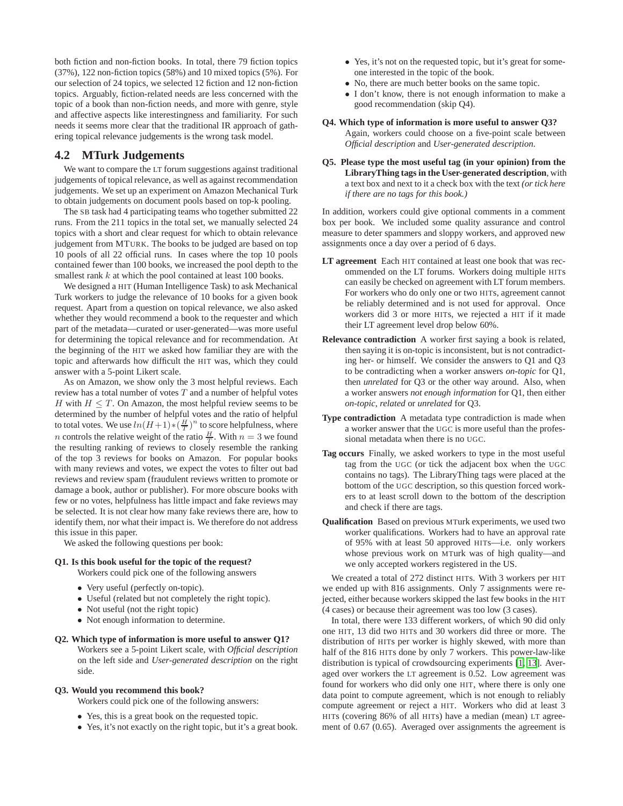both fiction and non-fiction books. In total, there 79 fiction topics (37%), 122 non-fiction topics (58%) and 10 mixed topics (5%). For our selection of 24 topics, we selected 12 fiction and 12 non-fiction topics. Arguably, fiction-related needs are less concerned with the topic of a book than non-fiction needs, and more with genre, style and affective aspects like interestingness and familiarity. For such needs it seems more clear that the traditional IR approach of gathering topical relevance judgements is the wrong task model.

### **4.2 MTurk Judgements**

We want to compare the LT forum suggestions against traditional judgements of topical relevance, as well as against recommendation judgements. We set up an experiment on Amazon Mechanical Turk to obtain judgements on document pools based on top-k pooling.

The SB task had 4 participating teams who together submitted 22 runs. From the 211 topics in the total set, we manually selected 24 topics with a short and clear request for which to obtain relevance judgement from MTURK. The books to be judged are based on top 10 pools of all 22 official runs. In cases where the top 10 pools contained fewer than 100 books, we increased the pool depth to the smallest rank k at which the pool contained at least 100 books.

We designed a HIT (Human Intelligence Task) to ask Mechanical Turk workers to judge the relevance of 10 books for a given book request. Apart from a question on topical relevance, we also asked whether they would recommend a book to the requester and which part of the metadata—curated or user-generated—was more useful for determining the topical relevance and for recommendation. At the beginning of the HIT we asked how familiar they are with the topic and afterwards how difficult the HIT was, which they could answer with a 5-point Likert scale.

As on Amazon, we show only the 3 most helpful reviews. Each review has a total number of votes  $T$  and a number of helpful votes H with  $H \leq T$ . On Amazon, the most helpful review seems to be determined by the number of helpful votes and the ratio of helpful to total votes. We use  $ln(H+1)*(\frac{H}{T})^n$  to score helpfulness, where *n* controls the relative weight of the ratio  $\frac{H}{T}$ . With  $n = 3$  we found the resulting ranking of reviews to closely resemble the ranking of the top 3 reviews for books on Amazon. For popular books with many reviews and votes, we expect the votes to filter out bad reviews and review spam (fraudulent reviews written to promote or damage a book, author or publisher). For more obscure books with few or no votes, helpfulness has little impact and fake reviews may be selected. It is not clear how many fake reviews there are, how to identify them, nor what their impact is. We therefore do not address this issue in this paper.

We asked the following questions per book:

#### **Q1. Is this book useful for the topic of the request?**

Workers could pick one of the following answers

- Very useful (perfectly on-topic).
- Useful (related but not completely the right topic).
- Not useful (not the right topic)
- Not enough information to determine.

#### **Q2. Which type of information is more useful to answer Q1?**

Workers see a 5-point Likert scale, with *Official description* on the left side and *User-generated description* on the right side.

#### **Q3. Would you recommend this book?**

Workers could pick one of the following answers:

- Yes, this is a great book on the requested topic.
- Yes, it's not exactly on the right topic, but it's a great book.
- Yes, it's not on the requested topic, but it's great for someone interested in the topic of the book.
- No, there are much better books on the same topic.
- I don't know, there is not enough information to make a good recommendation (skip Q4).

#### **Q4. Which type of information is more useful to answer Q3?** Again, workers could choose on a five-point scale between

*Official description* and *User-generated description*.

**Q5. Please type the most useful tag (in your opinion) from the LibraryThing tags in the User-generated description**, with a text box and next to it a check box with the text *(or tick here if there are no tags for this book.)*

In addition, workers could give optional comments in a comment box per book. We included some quality assurance and control measure to deter spammers and sloppy workers, and approved new assignments once a day over a period of 6 days.

- **LT agreement** Each HIT contained at least one book that was recommended on the LT forums. Workers doing multiple HITs can easily be checked on agreement with LT forum members. For workers who do only one or two HITs, agreement cannot be reliably determined and is not used for approval. Once workers did 3 or more HITs, we rejected a HIT if it made their LT agreement level drop below 60%.
- **Relevance contradiction** A worker first saying a book is related, then saying it is on-topic is inconsistent, but is not contradicting her- or himself. We consider the answers to Q1 and Q3 to be contradicting when a worker answers *on-topic* for Q1, then *unrelated* for Q3 or the other way around. Also, when a worker answers *not enough information* for Q1, then either *on-topic*, *related* or *unrelated* for Q3.
- **Type contradiction** A metadata type contradiction is made when a worker answer that the UGC is more useful than the professional metadata when there is no UGC.
- **Tag occurs** Finally, we asked workers to type in the most useful tag from the UGC (or tick the adjacent box when the UGC contains no tags). The LibraryThing tags were placed at the bottom of the UGC description, so this question forced workers to at least scroll down to the bottom of the description and check if there are tags.
- **Qualification** Based on previous MTurk experiments, we used two worker qualifications. Workers had to have an approval rate of 95% with at least 50 approved HITs—i.e. only workers whose previous work on MTurk was of high quality—and we only accepted workers registered in the US.

We created a total of 272 distinct HITs. With 3 workers per HIT we ended up with 816 assignments. Only 7 assignments were rejected, either because workers skipped the last few books in the HIT (4 cases) or because their agreement was too low (3 cases).

In total, there were 133 different workers, of which 90 did only one HIT, 13 did two HITs and 30 workers did three or more. The distribution of HITs per worker is highly skewed, with more than half of the 816 HITs done by only 7 workers. This power-law-like distribution is typical of crowdsourcing experiments [\[1](#page-9-21), [13\]](#page-9-24). Averaged over workers the LT agreement is 0.52. Low agreement was found for workers who did only one HIT, where there is only one data point to compute agreement, which is not enough to reliably compute agreement or reject a HIT. Workers who did at least 3 HITs (covering 86% of all HITs) have a median (mean) LT agreement of 0.67 (0.65). Averaged over assignments the agreement is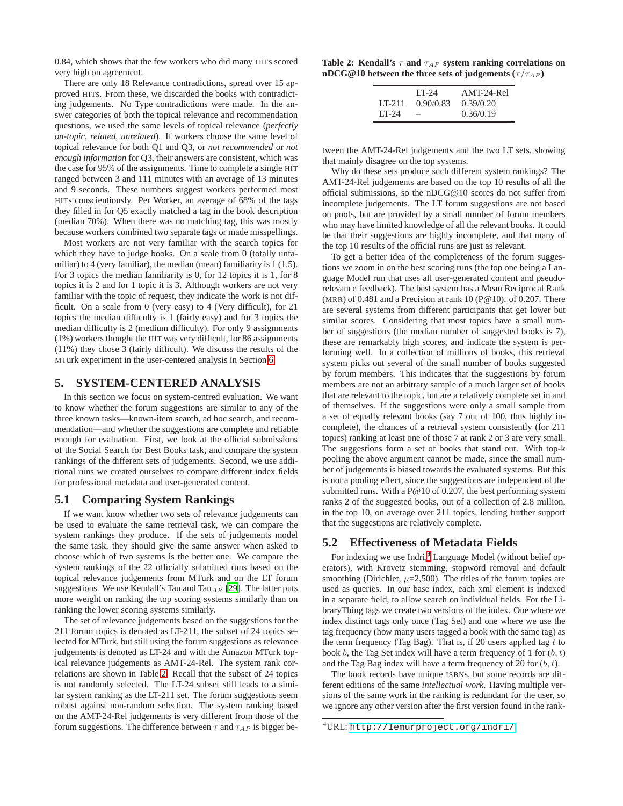0.84, which shows that the few workers who did many HITs scored very high on agreement.

There are only 18 Relevance contradictions, spread over 15 approved HITs. From these, we discarded the books with contradicting judgements. No Type contradictions were made. In the answer categories of both the topical relevance and recommendation questions, we used the same levels of topical relevance (*perfectly on-topic*, *related*, *unrelated*). If workers choose the same level of topical relevance for both Q1 and Q3, or *not recommended* or *not enough information* for Q3, their answers are consistent, which was the case for 95% of the assignments. Time to complete a single HIT ranged between 3 and 111 minutes with an average of 13 minutes and 9 seconds. These numbers suggest workers performed most HITs conscientiously. Per Worker, an average of 68% of the tags they filled in for Q5 exactly matched a tag in the book description (median 70%). When there was no matching tag, this was mostly because workers combined two separate tags or made misspellings.

Most workers are not very familiar with the search topics for which they have to judge books. On a scale from 0 (totally unfamiliar) to 4 (very familiar), the median (mean) familiarity is 1 (1.5). For 3 topics the median familiarity is 0, for 12 topics it is 1, for 8 topics it is 2 and for 1 topic it is 3. Although workers are not very familiar with the topic of request, they indicate the work is not difficult. On a scale from 0 (very easy) to 4 (Very difficult), for 21 topics the median difficulty is 1 (fairly easy) and for 3 topics the median difficulty is 2 (medium difficulty). For only 9 assignments (1%) workers thought the HIT was very difficult, for 86 assignments (11%) they chose 3 (fairly difficult). We discuss the results of the MTurk experiment in the user-centered analysis in Section [6.](#page-6-0)

## <span id="page-5-0"></span>**5. SYSTEM-CENTERED ANALYSIS**

In this section we focus on system-centred evaluation. We want to know whether the forum suggestions are similar to any of the three known tasks—known-item search, ad hoc search, and recommendation—and whether the suggestions are complete and reliable enough for evaluation. First, we look at the official submissions of the Social Search for Best Books task, and compare the system rankings of the different sets of judgements. Second, we use additional runs we created ourselves to compare different index fields for professional metadata and user-generated content.

## **5.1 Comparing System Rankings**

If we want know whether two sets of relevance judgements can be used to evaluate the same retrieval task, we can compare the system rankings they produce. If the sets of judgements model the same task, they should give the same answer when asked to choose which of two systems is the better one. We compare the system rankings of the 22 officially submitted runs based on the topical relevance judgements from MTurk and on the LT forum suggestions. We use Kendall's Tau and Tau<sub>AP</sub> [\[29\]](#page-9-27). The latter puts more weight on ranking the top scoring systems similarly than on ranking the lower scoring systems similarly.

The set of relevance judgements based on the suggestions for the 211 forum topics is denoted as LT-211, the subset of 24 topics selected for MTurk, but still using the forum suggestions as relevance judgements is denoted as LT-24 and with the Amazon MTurk topical relevance judgements as AMT-24-Rel. The system rank correlations are shown in Table [2.](#page-5-2) Recall that the subset of 24 topics is not randomly selected. The LT-24 subset still leads to a similar system ranking as the LT-211 set. The forum suggestions seem robust against non-random selection. The system ranking based on the AMT-24-Rel judgements is very different from those of the forum suggestions. The difference between  $\tau$  and  $\tau_{AP}$  is bigger be-

|                                                                   |  | Table 2: Kendall's $\tau$ and $\tau_{AP}$ system ranking correlations on |  |
|-------------------------------------------------------------------|--|--------------------------------------------------------------------------|--|
| nDCG@10 between the three sets of judgements ( $\tau/\tau_{AP}$ ) |  |                                                                          |  |

<span id="page-5-2"></span>

|         | I T-24    | AMT-24-Rel |
|---------|-----------|------------|
| I T-211 | 0.90/0.83 | 0.39/0.20  |
| $LT-24$ |           | 0.36/0.19  |

tween the AMT-24-Rel judgements and the two LT sets, showing that mainly disagree on the top systems.

Why do these sets produce such different system rankings? The AMT-24-Rel judgements are based on the top 10 results of all the official submissions, so the nDCG@10 scores do not suffer from incomplete judgements. The LT forum suggestions are not based on pools, but are provided by a small number of forum members who may have limited knowledge of all the relevant books. It could be that their suggestions are highly incomplete, and that many of the top 10 results of the official runs are just as relevant.

To get a better idea of the completeness of the forum suggestions we zoom in on the best scoring runs (the top one being a Language Model run that uses all user-generated content and pseudorelevance feedback). The best system has a Mean Reciprocal Rank (MRR) of 0.481 and a Precision at rank 10 (P@10). of 0.207. There are several systems from different participants that get lower but similar scores. Considering that most topics have a small number of suggestions (the median number of suggested books is 7), these are remarkably high scores, and indicate the system is performing well. In a collection of millions of books, this retrieval system picks out several of the small number of books suggested by forum members. This indicates that the suggestions by forum members are not an arbitrary sample of a much larger set of books that are relevant to the topic, but are a relatively complete set in and of themselves. If the suggestions were only a small sample from a set of equally relevant books (say 7 out of 100, thus highly incomplete), the chances of a retrieval system consistently (for 211 topics) ranking at least one of those 7 at rank 2 or 3 are very small. The suggestions form a set of books that stand out. With top-k pooling the above argument cannot be made, since the small number of judgements is biased towards the evaluated systems. But this is not a pooling effect, since the suggestions are independent of the submitted runs. With a P@10 of 0.207, the best performing system ranks 2 of the suggested books, out of a collection of 2.8 million, in the top 10, on average over 211 topics, lending further support that the suggestions are relatively complete.

# <span id="page-5-1"></span>**5.2 Effectiveness of Metadata Fields**

For indexing we use Indri,<sup>[4](#page-5-3)</sup> Language Model (without belief operators), with Krovetz stemming, stopword removal and default smoothing (Dirichlet,  $\mu$ =2,500). The titles of the forum topics are used as queries. In our base index, each xml element is indexed in a separate field, to allow search on individual fields. For the LibraryThing tags we create two versions of the index. One where we index distinct tags only once (Tag Set) and one where we use the tag frequency (how many users tagged a book with the same tag) as the term frequency (Tag Bag). That is, if 20 users applied tag  $t$  to book b, the Tag Set index will have a term frequency of 1 for  $(b, t)$ and the Tag Bag index will have a term frequency of 20 for  $(b, t)$ .

The book records have unique ISBNs, but some records are different editions of the same *intellectual work*. Having multiple versions of the same work in the ranking is redundant for the user, so we ignore any other version after the first version found in the rank-

<span id="page-5-3"></span><sup>4</sup>URL: <http://lemurproject.org/indri/>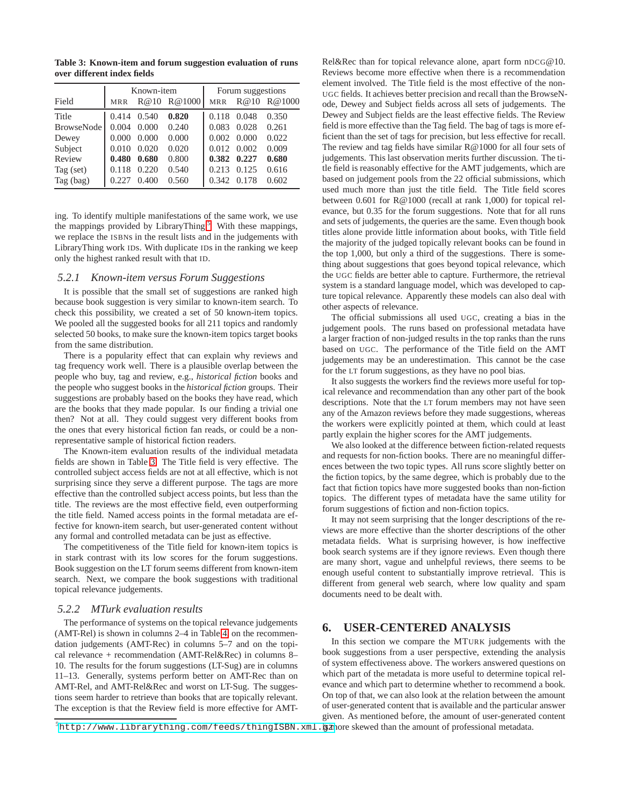<span id="page-6-2"></span>**Table 3: Known-item and forum suggestion evaluation of runs over different index fields**

|                   |            | Known-item |        | Forum suggestions |       |        |  |
|-------------------|------------|------------|--------|-------------------|-------|--------|--|
| Field             | <b>MRR</b> | R@10       | R@1000 | <b>MRR</b>        | R@10  | R@1000 |  |
| Title             | 0.414      | 0.540      | 0.820  | 0.118             | 0.048 | 0.350  |  |
| <b>BrowseNode</b> | 0.004      | 0.000      | 0.240  | 0.083             | 0.028 | 0.261  |  |
| Dewey             | 0.000      | 0.000      | 0.000  | 0.002             | 0.000 | 0.022  |  |
| Subject           | 0.010      | 0.020      | 0.020  | 0.012             | 0.002 | 0.009  |  |
| Review            | 0.480      | 0.680      | 0.800  | 0.382             | 0.227 | 0.680  |  |
| Tag (set)         | 0.118      | 0.220      | 0.540  | 0.213             | 0.125 | 0.616  |  |
| Tag (bag)         | 0.227      | 0.400      | 0.560  | 0.342             | 0.178 | 0.602  |  |

ing. To identify multiple manifestations of the same work, we use the mappings provided by LibraryThing.<sup>[5](#page-6-1)</sup> With these mappings, we replace the ISBNs in the result lists and in the judgements with LibraryThing work IDs. With duplicate IDs in the ranking we keep only the highest ranked result with that ID.

#### *5.2.1 Known-item versus Forum Suggestions*

It is possible that the small set of suggestions are ranked high because book suggestion is very similar to known-item search. To check this possibility, we created a set of 50 known-item topics. We pooled all the suggested books for all 211 topics and randomly selected 50 books, to make sure the known-item topics target books from the same distribution.

There is a popularity effect that can explain why reviews and tag frequency work well. There is a plausible overlap between the people who buy, tag and review, e.g., *historical fiction* books and the people who suggest books in the *historical fiction* groups. Their suggestions are probably based on the books they have read, which are the books that they made popular. Is our finding a trivial one then? Not at all. They could suggest very different books from the ones that every historical fiction fan reads, or could be a nonrepresentative sample of historical fiction readers.

The Known-item evaluation results of the individual metadata fields are shown in Table [3.](#page-6-2) The Title field is very effective. The controlled subject access fields are not at all effective, which is not surprising since they serve a different purpose. The tags are more effective than the controlled subject access points, but less than the title. The reviews are the most effective field, even outperforming the title field. Named access points in the formal metadata are effective for known-item search, but user-generated content without any formal and controlled metadata can be just as effective.

The competitiveness of the Title field for known-item topics is in stark contrast with its low scores for the forum suggestions. Book suggestion on the LT forum seems different from known-item search. Next, we compare the book suggestions with traditional topical relevance judgements.

#### *5.2.2 MTurk evaluation results*

The performance of systems on the topical relevance judgements (AMT-Rel) is shown in columns 2–4 in Table [4,](#page-7-0) on the recommendation judgements (AMT-Rec) in columns 5–7 and on the topical relevance + recommendation (AMT-Rel&Rec) in columns 8– 10. The results for the forum suggestions (LT-Sug) are in columns 11–13. Generally, systems perform better on AMT-Rec than on AMT-Rel, and AMT-Rel&Rec and worst on LT-Sug. The suggestions seem harder to retrieve than books that are topically relevant. The exception is that the Review field is more effective for AMT- Rel&Rec than for topical relevance alone, apart form nDCG@10. Reviews become more effective when there is a recommendation element involved. The Title field is the most effective of the non-UGC fields. It achieves better precision and recall than the BrowseNode, Dewey and Subject fields across all sets of judgements. The Dewey and Subject fields are the least effective fields. The Review field is more effective than the Tag field. The bag of tags is more efficient than the set of tags for precision, but less effective for recall. The review and tag fields have similar R@1000 for all four sets of judgements. This last observation merits further discussion. The title field is reasonably effective for the AMT judgements, which are based on judgement pools from the 22 official submissions, which used much more than just the title field. The Title field scores between 0.601 for R@1000 (recall at rank 1,000) for topical relevance, but 0.35 for the forum suggestions. Note that for all runs and sets of judgements, the queries are the same. Even though book titles alone provide little information about books, with Title field the majority of the judged topically relevant books can be found in the top 1,000, but only a third of the suggestions. There is something about suggestions that goes beyond topical relevance, which the UGC fields are better able to capture. Furthermore, the retrieval system is a standard language model, which was developed to capture topical relevance. Apparently these models can also deal with other aspects of relevance.

The official submissions all used UGC, creating a bias in the judgement pools. The runs based on professional metadata have a larger fraction of non-judged results in the top ranks than the runs based on UGC. The performance of the Title field on the AMT judgements may be an underestimation. This cannot be the case for the LT forum suggestions, as they have no pool bias.

It also suggests the workers find the reviews more useful for topical relevance and recommendation than any other part of the book descriptions. Note that the LT forum members may not have seen any of the Amazon reviews before they made suggestions, whereas the workers were explicitly pointed at them, which could at least partly explain the higher scores for the AMT judgements.

We also looked at the difference between fiction-related requests and requests for non-fiction books. There are no meaningful differences between the two topic types. All runs score slightly better on the fiction topics, by the same degree, which is probably due to the fact that fiction topics have more suggested books than non-fiction topics. The different types of metadata have the same utility for forum suggestions of fiction and non-fiction topics.

It may not seem surprising that the longer descriptions of the reviews are more effective than the shorter descriptions of the other metadata fields. What is surprising however, is how ineffective book search systems are if they ignore reviews. Even though there are many short, vague and unhelpful reviews, there seems to be enough useful content to substantially improve retrieval. This is different from general web search, where low quality and spam documents need to be dealt with.

## <span id="page-6-0"></span>**6. USER-CENTERED ANALYSIS**

In this section we compare the MTURK judgements with the book suggestions from a user perspective, extending the analysis of system effectiveness above. The workers answered questions on which part of the metadata is more useful to determine topical relevance and which part to determine whether to recommend a book. On top of that, we can also look at the relation between the amount of user-generated content that is available and the particular answer given. As mentioned before, the amount of user-generated content

<span id="page-6-1"></span> $^5$ <http://www.librarything.com/feeds/thingISBN.xml.gz>more skewed than the amount of professional metadata.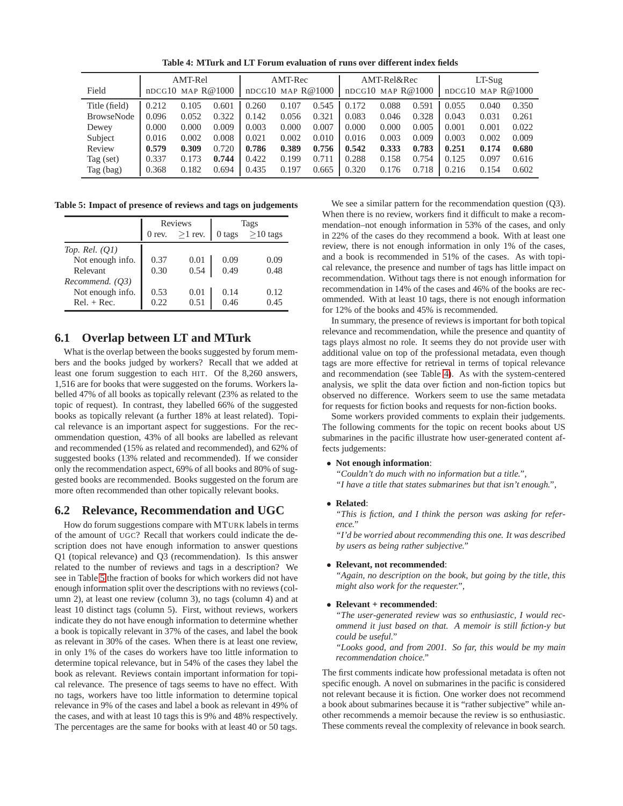<span id="page-7-0"></span>**Table 4: MTurk and LT Forum evaluation of runs over different index fields**

| Field             | AMT-Rel<br>$nDCG10$ MAP $R@1000$ |       | AMT-Rec<br>$nDCG10$ MAP $R@1000$ |       | AMT-Rel&Rec<br>$nDCG10$ MAP $R@1000$ |       |       | $LT-Sug$<br>$nDCG10$ MAP $R@1000$ |       |       |       |       |
|-------------------|----------------------------------|-------|----------------------------------|-------|--------------------------------------|-------|-------|-----------------------------------|-------|-------|-------|-------|
| Title (field)     | 0.212                            | 0.105 | 0.601                            | 0.260 | 0.107                                | 0.545 | 0.172 | 0.088                             | 0.591 | 0.055 | 0.040 | 0.350 |
| <b>BrowseNode</b> | 0.096                            | 0.052 | 0.322                            | 0.142 | 0.056                                | 0.321 | 0.083 | 0.046                             | 0.328 | 0.043 | 0.031 | 0.261 |
| Dewey             | 0.000                            | 0.000 | 0.009                            | 0.003 | 0.000                                | 0.007 | 0.000 | 0.000                             | 0.005 | 0.001 | 0.001 | 0.022 |
| Subject           | 0.016                            | 0.002 | 0.008                            | 0.021 | 0.002                                | 0.010 | 0.016 | 0.003                             | 0.009 | 0.003 | 0.002 | 0.009 |
| Review            | 0.579                            | 0.309 | 0.720                            | 0.786 | 0.389                                | 0.756 | 0.542 | 0.333                             | 0.783 | 0.251 | 0.174 | 0.680 |
| Tag $(set)$       | 0.337                            | 0.173 | 0.744                            | 0.422 | 0.199                                | 0.711 | 0.288 | 0.158                             | 0.754 | 0.125 | 0.097 | 0.616 |
| Tag (bag)         | 0.368                            | 0.182 | 0.694                            | 0.435 | 0.197                                | 0.665 | 0.320 | 0.176                             | 0.718 | 0.216 | 0.154 | 0.602 |

**Table 5: Impact of presence of reviews and tags on judgements**

<span id="page-7-1"></span>

|                  |          | <b>Reviews</b> | Tags   |            |  |
|------------------|----------|----------------|--------|------------|--|
|                  | $0$ rev. | $\geq$ 1 rev.  | 0 tags | $>10$ tags |  |
| Top. Rel. $(Q1)$ |          |                |        |            |  |
| Not enough info. | 0.37     | 0.01           | 0.09   | 0.09       |  |
| Relevant         | 0.30     | 0.54           | 0.49   | 0.48       |  |
| Recommend. (O3)  |          |                |        |            |  |
| Not enough info. | 0.53     | 0.01           | 0.14   | 0.12       |  |
| $Rel. + Rec.$    | 0.22.    | 0.51           | 0.46   | 0.45       |  |

## **6.1 Overlap between LT and MTurk**

What is the overlap between the books suggested by forum members and the books judged by workers? Recall that we added at least one forum suggestion to each HIT. Of the 8,260 answers, 1,516 are for books that were suggested on the forums. Workers labelled 47% of all books as topically relevant (23% as related to the topic of request). In contrast, they labelled 66% of the suggested books as topically relevant (a further 18% at least related). Topical relevance is an important aspect for suggestions. For the recommendation question, 43% of all books are labelled as relevant and recommended (15% as related and recommended), and 62% of suggested books (13% related and recommended). If we consider only the recommendation aspect, 69% of all books and 80% of suggested books are recommended. Books suggested on the forum are more often recommended than other topically relevant books.

### **6.2 Relevance, Recommendation and UGC**

How do forum suggestions compare with MTURK labels in terms of the amount of UGC? Recall that workers could indicate the description does not have enough information to answer questions Q1 (topical relevance) and Q3 (recommendation). Is this answer related to the number of reviews and tags in a description? We see in Table [5](#page-7-1) the fraction of books for which workers did not have enough information split over the descriptions with no reviews (column 2), at least one review (column 3), no tags (column 4) and at least 10 distinct tags (column 5). First, without reviews, workers indicate they do not have enough information to determine whether a book is topically relevant in 37% of the cases, and label the book as relevant in 30% of the cases. When there is at least one review, in only 1% of the cases do workers have too little information to determine topical relevance, but in 54% of the cases they label the book as relevant. Reviews contain important information for topical relevance. The presence of tags seems to have no effect. With no tags, workers have too little information to determine topical relevance in 9% of the cases and label a book as relevant in 49% of the cases, and with at least 10 tags this is 9% and 48% respectively. The percentages are the same for books with at least 40 or 50 tags.

We see a similar pattern for the recommendation question (Q3). When there is no review, workers find it difficult to make a recommendation–not enough information in 53% of the cases, and only in 22% of the cases do they recommend a book. With at least one review, there is not enough information in only 1% of the cases, and a book is recommended in 51% of the cases. As with topical relevance, the presence and number of tags has little impact on recommendation. Without tags there is not enough information for recommendation in 14% of the cases and 46% of the books are recommended. With at least 10 tags, there is not enough information for 12% of the books and 45% is recommended.

In summary, the presence of reviews is important for both topical relevance and recommendation, while the presence and quantity of tags plays almost no role. It seems they do not provide user with additional value on top of the professional metadata, even though tags are more effective for retrieval in terms of topical relevance and recommendation (see Table [4\)](#page-7-0). As with the system-centered analysis, we split the data over fiction and non-fiction topics but observed no difference. Workers seem to use the same metadata for requests for fiction books and requests for non-fiction books.

Some workers provided comments to explain their judgements. The following comments for the topic on recent books about US submarines in the pacific illustrate how user-generated content affects judgements:

#### • **Not enough information**:

*"Couldn't do much with no information but a title.",*

*"I have a title that states submarines but that isn't enough.",*

• **Related**:

*"This is fiction, and I think the person was asking for reference."*

*"I'd be worried about recommending this one. It was described by users as being rather subjective."*

#### • **Relevant, not recommended**:

*"Again, no description on the book, but going by the title, this might also work for the requester.",*

#### • **Relevant + recommended**:

*"The user-generated review was so enthusiastic, I would recommend it just based on that. A memoir is still fiction-y but could be useful."*

*"Looks good, and from 2001. So far, this would be my main recommendation choice."*

The first comments indicate how professional metadata is often not specific enough. A novel on submarines in the pacific is considered not relevant because it is fiction. One worker does not recommend a book about submarines because it is "rather subjective" while another recommends a memoir because the review is so enthusiastic. These comments reveal the complexity of relevance in book search.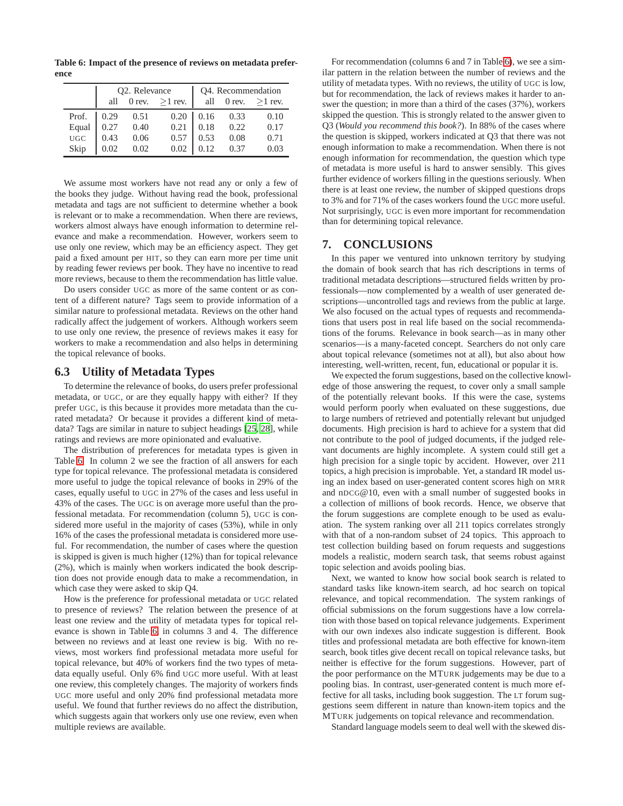**Table 6: Impact of the presence of reviews on metadata preference**

<span id="page-8-1"></span>

|              |      | Q2. Relevance |                          | Q4. Recommendation |      |                      |  |
|--------------|------|---------------|--------------------------|--------------------|------|----------------------|--|
|              |      |               | all 0 rev. $\geq$ 1 rev. |                    |      | all 0 rev. $>1$ rev. |  |
| Prof.        | 0.29 | 0.51          |                          | $0.20 \ 0.16$      | 0.33 | 0.10                 |  |
| Equal<br>UGC | 0.27 | 0.40          | 0.21                     | 0.18               | 0.22 | 0.17                 |  |
|              | 0.43 | 0.06          | 0.57                     | 0.53               | 0.08 | 0.71                 |  |
| Skip         | 0.02 | 0.02          | 0.02                     |                    | 0.37 | 0.03                 |  |

We assume most workers have not read any or only a few of the books they judge. Without having read the book, professional metadata and tags are not sufficient to determine whether a book is relevant or to make a recommendation. When there are reviews, workers almost always have enough information to determine relevance and make a recommendation. However, workers seem to use only one review, which may be an efficiency aspect. They get paid a fixed amount per HIT, so they can earn more per time unit by reading fewer reviews per book. They have no incentive to read more reviews, because to them the recommendation has little value.

Do users consider UGC as more of the same content or as content of a different nature? Tags seem to provide information of a similar nature to professional metadata. Reviews on the other hand radically affect the judgement of workers. Although workers seem to use only one review, the presence of reviews makes it easy for workers to make a recommendation and also helps in determining the topical relevance of books.

#### **6.3 Utility of Metadata Types**

To determine the relevance of books, do users prefer professional metadata, or UGC, or are they equally happy with either? If they prefer UGC, is this because it provides more metadata than the curated metadata? Or because it provides a different kind of metadata? Tags are similar in nature to subject headings [\[25,](#page-9-28) [28](#page-9-17)], while ratings and reviews are more opinionated and evaluative.

The distribution of preferences for metadata types is given in Table [6.](#page-8-1) In column 2 we see the fraction of all answers for each type for topical relevance. The professional metadata is considered more useful to judge the topical relevance of books in 29% of the cases, equally useful to UGC in 27% of the cases and less useful in 43% of the cases. The UGC is on average more useful than the professional metadata. For recommendation (column 5), UGC is considered more useful in the majority of cases (53%), while in only 16% of the cases the professional metadata is considered more useful. For recommendation, the number of cases where the question is skipped is given is much higher (12%) than for topical relevance (2%), which is mainly when workers indicated the book description does not provide enough data to make a recommendation, in which case they were asked to skip Q4.

How is the preference for professional metadata or UGC related to presence of reviews? The relation between the presence of at least one review and the utility of metadata types for topical relevance is shown in Table [6,](#page-8-1) in columns 3 and 4. The difference between no reviews and at least one review is big. With no reviews, most workers find professional metadata more useful for topical relevance, but 40% of workers find the two types of metadata equally useful. Only 6% find UGC more useful. With at least one review, this completely changes. The majority of workers finds UGC more useful and only 20% find professional metadata more useful. We found that further reviews do no affect the distribution, which suggests again that workers only use one review, even when multiple reviews are available.

For recommendation (columns 6 and 7 in Table [6\)](#page-8-1), we see a similar pattern in the relation between the number of reviews and the utility of metadata types. With no reviews, the utility of UGC is low, but for recommendation, the lack of reviews makes it harder to answer the question; in more than a third of the cases (37%), workers skipped the question. This is strongly related to the answer given to Q3 (*Would you recommend this book?*). In 88% of the cases where the question is skipped, workers indicated at Q3 that there was not enough information to make a recommendation. When there is not enough information for recommendation, the question which type of metadata is more useful is hard to answer sensibly. This gives further evidence of workers filling in the questions seriously. When there is at least one review, the number of skipped questions drops to 3% and for 71% of the cases workers found the UGC more useful. Not surprisingly, UGC is even more important for recommendation than for determining topical relevance.

## <span id="page-8-0"></span>**7. CONCLUSIONS**

In this paper we ventured into unknown territory by studying the domain of book search that has rich descriptions in terms of traditional metadata descriptions—structured fields written by professionals—now complemented by a wealth of user generated descriptions—uncontrolled tags and reviews from the public at large. We also focused on the actual types of requests and recommendations that users post in real life based on the social recommendations of the forums. Relevance in book search—as in many other scenarios—is a many-faceted concept. Searchers do not only care about topical relevance (sometimes not at all), but also about how interesting, well-written, recent, fun, educational or popular it is.

We expected the forum suggestions, based on the collective knowledge of those answering the request, to cover only a small sample of the potentially relevant books. If this were the case, systems would perform poorly when evaluated on these suggestions, due to large numbers of retrieved and potentially relevant but unjudged documents. High precision is hard to achieve for a system that did not contribute to the pool of judged documents, if the judged relevant documents are highly incomplete. A system could still get a high precision for a single topic by accident. However, over 211 topics, a high precision is improbable. Yet, a standard IR model using an index based on user-generated content scores high on MRR and nDCG@10, even with a small number of suggested books in a collection of millions of book records. Hence, we observe that the forum suggestions are complete enough to be used as evaluation. The system ranking over all 211 topics correlates strongly with that of a non-random subset of 24 topics. This approach to test collection building based on forum requests and suggestions models a realistic, modern search task, that seems robust against topic selection and avoids pooling bias.

Next, we wanted to know how social book search is related to standard tasks like known-item search, ad hoc search on topical relevance, and topical recommendation. The system rankings of official submissions on the forum suggestions have a low correlation with those based on topical relevance judgements. Experiment with our own indexes also indicate suggestion is different. Book titles and professional metadata are both effective for known-item search, book titles give decent recall on topical relevance tasks, but neither is effective for the forum suggestions. However, part of the poor performance on the MTURK judgements may be due to a pooling bias. In contrast, user-generated content is much more effective for all tasks, including book suggestion. The LT forum suggestions seem different in nature than known-item topics and the MTURK judgements on topical relevance and recommendation.

Standard language models seem to deal well with the skewed dis-